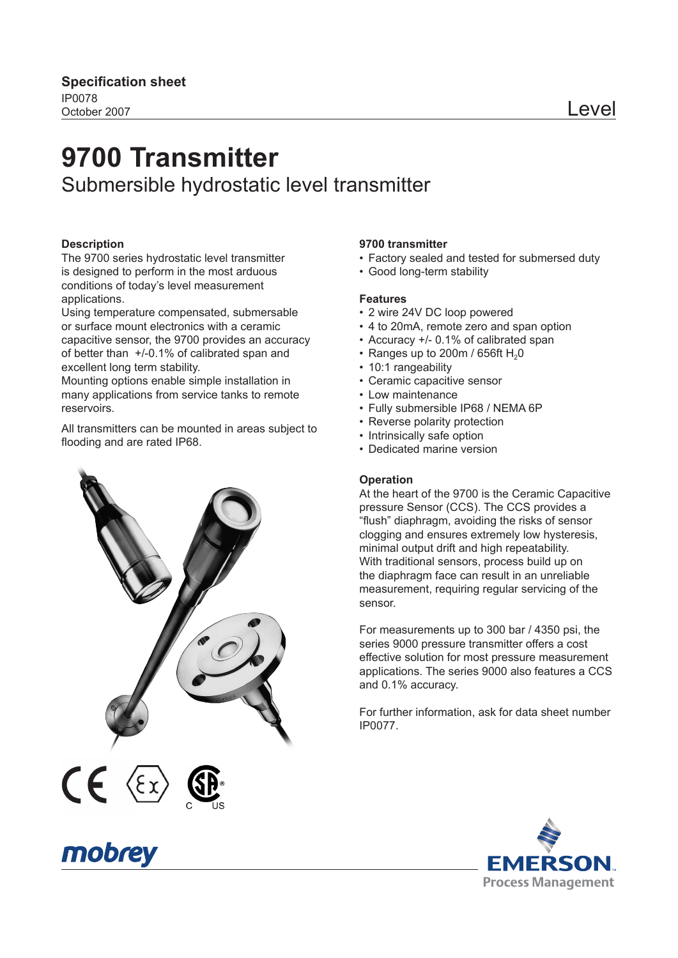# **9700 Transmitter** Submersible hydrostatic level transmitter

#### **Description**

The 9700 series hydrostatic level transmitter is designed to perform in the most arduous conditions of today's level measurement applications.

Using temperature compensated, submersable or surface mount electronics with a ceramic capacitive sensor, the 9700 provides an accuracy of better than +/-0.1% of calibrated span and excellent long term stability.

Mounting options enable simple installation in many applications from service tanks to remote reservoirs.

All transmitters can be mounted in areas subject to flooding and are rated IP68.



#### **9700 transmitter**

- Factory sealed and tested for submersed duty
- Good long-term stability

#### **Features**

- 2 wire 24V DC loop powered
- 4 to 20mA, remote zero and span option
- Accuracy +/- 0.1% of calibrated span
- Ranges up to 200m / 656ft  $H<sub>2</sub>0$
- 10:1 rangeability
- Ceramic capacitive sensor
- Low maintenance
- Fully submersible IP68 / NEMA 6P
- Reverse polarity protection
- Intrinsically safe option
- Dedicated marine version

#### **Operation**

At the heart of the 9700 is the Ceramic Capacitive pressure Sensor (CCS). The CCS provides a "flush" diaphragm, avoiding the risks of sensor clogging and ensures extremely low hysteresis, minimal output drift and high repeatability. With traditional sensors, process build up on the diaphragm face can result in an unreliable measurement, requiring regular servicing of the sensor.

For measurements up to 300 bar / 4350 psi, the series 9000 pressure transmitter offers a cost effective solution for most pressure measurement applications. The series 9000 also features a CCS and 0.1% accuracy.

For further information, ask for data sheet number IP0077.



# mobrey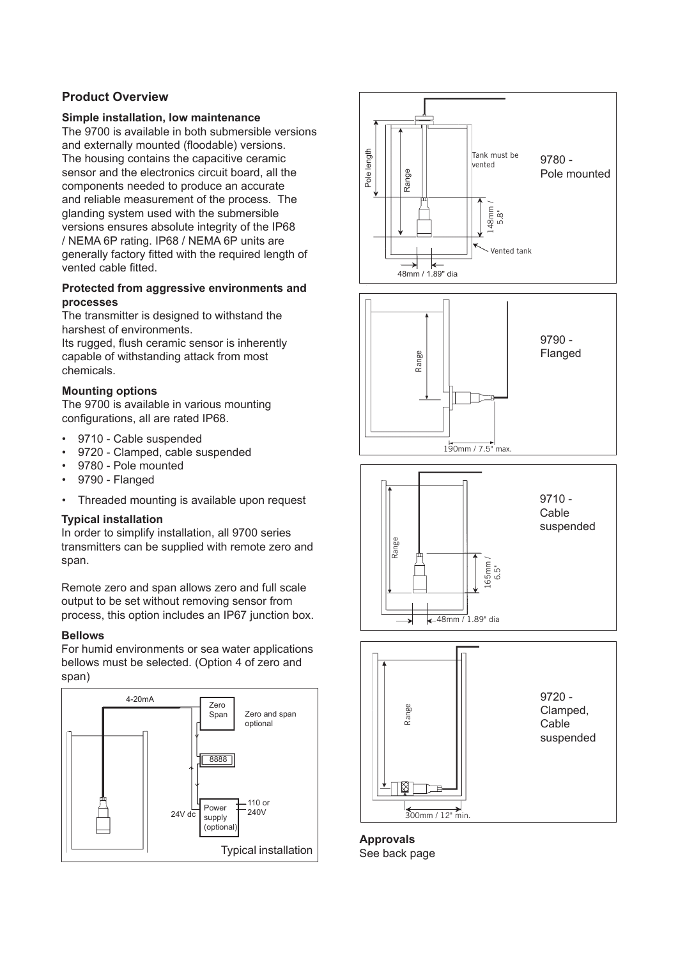#### **Product Overview**

#### **Simple installation, low maintenance**

The 9700 is available in both submersible versions and externally mounted (floodable) versions. The housing contains the capacitive ceramic sensor and the electronics circuit board, all the components needed to produce an accurate and reliable measurement of the process. The glanding system used with the submersible versions ensures absolute integrity of the IP68 / NEMA 6P rating. IP68 / NEMA 6P units are generally factory fitted with the required length of vented cable fitted.

#### **Protected from aggressive environments and processes**

The transmitter is designed to withstand the harshest of environments.

Its rugged, flush ceramic sensor is inherently capable of withstanding attack from most chemicals.

#### **Mounting options**

The 9700 is available in various mounting configurations, all are rated IP68.

- 9710 Cable suspended
- 9720 Clamped, cable suspended
- 9780 Pole mounted
- 9790 Flanged
- Threaded mounting is available upon request

#### **Typical installation**

In order to simplify installation, all 9700 series transmitters can be supplied with remote zero and span.

Remote zero and span allows zero and full scale output to be set without removing sensor from process, this option includes an IP67 junction box.

#### **Bellows**

For humid environments or sea water applications bellows must be selected. (Option 4 of zero and span)











**Approvals** See back page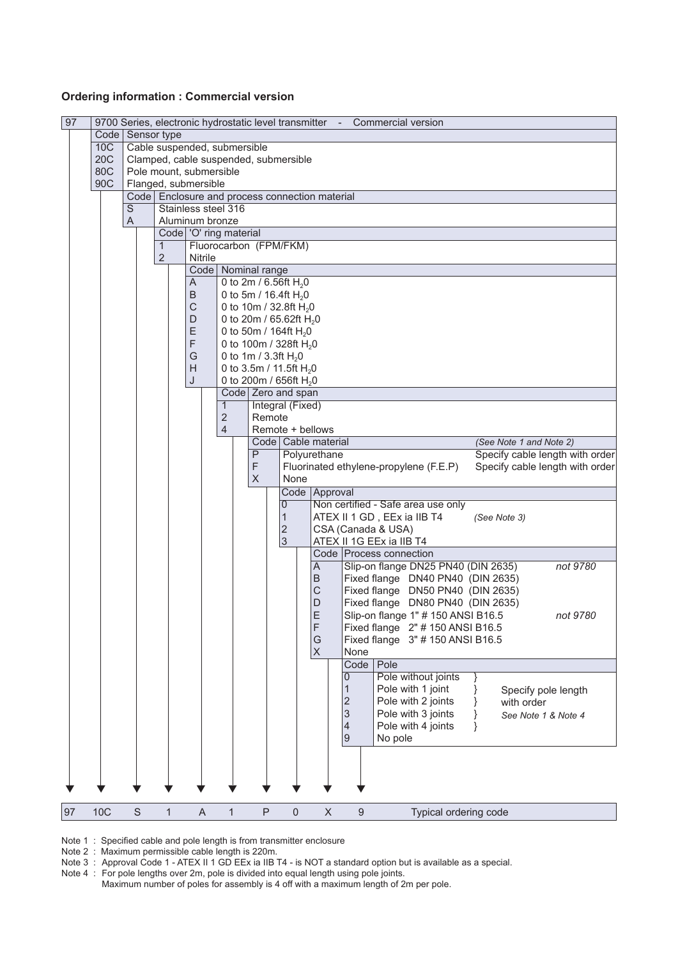#### **Ordering information : Commercial version**

| 97 |            |             |                              |                 |                          |                                                |                     |                           | 9700 Series, electronic hydrostatic level transmitter - Commercial version |  |  |
|----|------------|-------------|------------------------------|-----------------|--------------------------|------------------------------------------------|---------------------|---------------------------|----------------------------------------------------------------------------|--|--|
|    | Code       |             | Sensor type                  |                 |                          |                                                |                     |                           |                                                                            |  |  |
|    | 10C        |             | Cable suspended, submersible |                 |                          |                                                |                     |                           |                                                                            |  |  |
|    | <b>20C</b> |             |                              |                 |                          | Clamped, cable suspended, submersible          |                     |                           |                                                                            |  |  |
|    | 80C        |             | Pole mount, submersible      |                 |                          |                                                |                     |                           |                                                                            |  |  |
|    | 90C        |             | Flanged, submersible         |                 |                          |                                                |                     |                           |                                                                            |  |  |
|    |            |             |                              |                 |                          | Code Enclosure and process connection material |                     |                           |                                                                            |  |  |
|    |            | S           |                              |                 | Stainless steel 316      |                                                |                     |                           |                                                                            |  |  |
|    |            | A           |                              | Aluminum bronze |                          |                                                |                     |                           |                                                                            |  |  |
|    |            |             |                              |                 | Code   'O' ring material |                                                |                     |                           |                                                                            |  |  |
|    |            |             | 1                            |                 |                          | Fluorocarbon (FPM/FKM)                         |                     |                           |                                                                            |  |  |
|    |            |             | $\overline{2}$               | Nitrile         |                          |                                                |                     |                           |                                                                            |  |  |
|    |            |             |                              |                 |                          | Code   Nominal range                           |                     |                           |                                                                            |  |  |
|    |            |             |                              | A               |                          | 0 to 2m / 6.56ft $H_2$ 0                       |                     |                           |                                                                            |  |  |
|    |            |             |                              | B               |                          | 0 to 5m / 16.4ft $H_2$ 0                       |                     |                           |                                                                            |  |  |
|    |            |             |                              | C               |                          | 0 to 10m / 32.8ft H <sub>2</sub> 0             |                     |                           |                                                                            |  |  |
|    |            |             |                              | D               |                          | 0 to 20m / 65.62ft H <sub>2</sub> 0            |                     |                           |                                                                            |  |  |
|    |            |             |                              | Ε               |                          | 0 to 50m / 164ft H <sub>2</sub> 0              |                     |                           |                                                                            |  |  |
|    |            |             |                              | F               |                          | 0 to 100m / 328ft H <sub>2</sub> 0             |                     |                           |                                                                            |  |  |
|    |            |             |                              | G               |                          | 0 to 1m / 3.3ft $H_2$ 0                        |                     |                           |                                                                            |  |  |
|    |            |             |                              | H               |                          | 0 to 3.5m / 11.5ft $H_2$ 0                     |                     |                           |                                                                            |  |  |
|    |            |             |                              | J               |                          | 0 to 200m / 656ft H <sub>2</sub> 0             |                     |                           |                                                                            |  |  |
|    |            |             |                              |                 |                          | Code Zero and span                             |                     |                           |                                                                            |  |  |
|    |            |             |                              |                 | $\mathbf{1}$             | Integral (Fixed)                               |                     |                           |                                                                            |  |  |
|    |            |             |                              |                 | $\mathbf 2$              | Remote                                         |                     |                           |                                                                            |  |  |
|    |            |             |                              |                 | 4                        | Remote + bellows                               |                     |                           |                                                                            |  |  |
|    |            |             |                              |                 |                          |                                                |                     | Code   Cable material     | (See Note 1 and Note 2)                                                    |  |  |
|    |            |             |                              |                 |                          | $\overline{P}$                                 |                     | Polyurethane              | Specify cable length with order                                            |  |  |
|    |            |             |                              |                 |                          | F                                              |                     |                           | Fluorinated ethylene-propylene (F.E.P)<br>Specify cable length with order  |  |  |
|    |            |             |                              |                 |                          | X                                              | None                |                           |                                                                            |  |  |
|    |            |             |                              |                 |                          |                                                |                     | Code Approval             |                                                                            |  |  |
|    |            |             |                              |                 |                          |                                                | $\mathbf 0$         |                           | Non certified - Safe area use only                                         |  |  |
|    |            |             |                              |                 |                          |                                                | $\mathbf{1}$        |                           | ATEX II 1 GD, EEx ia IIB T4<br>(See Note 3)                                |  |  |
|    |            |             |                              |                 |                          |                                                | $\mathbf 2$         |                           | CSA (Canada & USA)                                                         |  |  |
|    |            |             |                              |                 |                          |                                                | $\overline{3}$      |                           | ATEX II 1G EEx ia IIB T4                                                   |  |  |
|    |            |             |                              |                 |                          |                                                |                     |                           | Code Process connection                                                    |  |  |
|    |            |             |                              |                 |                          |                                                |                     | Α                         | Slip-on flange DN25 PN40 (DIN 2635)<br>not 9780                            |  |  |
|    |            |             |                              |                 |                          |                                                |                     | B                         | Fixed flange DN40 PN40 (DIN 2635)                                          |  |  |
|    |            |             |                              |                 |                          |                                                |                     | $\mathsf C$               | Fixed flange DN50 PN40 (DIN 2635)                                          |  |  |
|    |            |             |                              |                 |                          |                                                |                     | D                         | Fixed flange DN80 PN40 (DIN 2635)                                          |  |  |
|    |            |             |                              |                 |                          |                                                |                     | E                         | Slip-on flange 1" # 150 ANSI B16.5<br>not 9780                             |  |  |
|    |            |             |                              |                 |                          |                                                |                     | F                         | Fixed flange 2" # 150 ANSI B16.5                                           |  |  |
|    |            |             |                              |                 |                          |                                                |                     | G                         | Fixed flange 3" # 150 ANSI B16.5                                           |  |  |
|    |            |             |                              |                 |                          |                                                |                     | $\mathsf X$               | None                                                                       |  |  |
|    |            |             |                              |                 |                          |                                                |                     |                           | Code<br>Pole                                                               |  |  |
|    |            |             |                              |                 |                          |                                                |                     |                           | Pole without joints<br>0                                                   |  |  |
|    |            |             |                              |                 |                          |                                                |                     |                           | 1<br>Pole with 1 joint<br>Specify pole length                              |  |  |
|    |            |             |                              |                 |                          |                                                |                     |                           | $\overline{c}$<br>Pole with 2 joints<br>with order                         |  |  |
|    |            |             |                              |                 |                          |                                                |                     |                           | 3<br>Pole with 3 joints<br>See Note 1 & Note 4                             |  |  |
|    |            |             |                              |                 |                          |                                                |                     |                           | $\overline{4}$<br>Pole with 4 joints                                       |  |  |
|    |            |             |                              |                 |                          |                                                |                     |                           | $\overline{9}$<br>No pole                                                  |  |  |
|    |            |             |                              |                 |                          |                                                |                     |                           |                                                                            |  |  |
|    |            |             |                              |                 |                          |                                                |                     |                           |                                                                            |  |  |
|    |            |             |                              |                 |                          |                                                |                     |                           |                                                                            |  |  |
|    |            |             |                              |                 |                          |                                                |                     |                           |                                                                            |  |  |
|    |            |             |                              |                 |                          |                                                |                     |                           |                                                                            |  |  |
| 97 | <b>10C</b> | $\mathsf S$ | $\mathbf{1}$                 | A               | $\mathbf{1}$             | P                                              | $\mathsf{O}\xspace$ | $\boldsymbol{\mathsf{X}}$ | 9<br>Typical ordering code                                                 |  |  |
|    |            |             |                              |                 |                          |                                                |                     |                           |                                                                            |  |  |

Note 1 : Specified cable and pole length is from transmitter enclosure

Note 2 : Maximum permissible cable length is 220m.

Note 3 : Approval Code 1 - ATEX II 1 GD EEx ia IIB T4 - is NOT a standard option but is available as a special.

Note 4 : For pole lengths over 2m, pole is divided into equal length using pole joints. Maximum number of poles for assembly is 4 off with a maximum length of 2m per pole.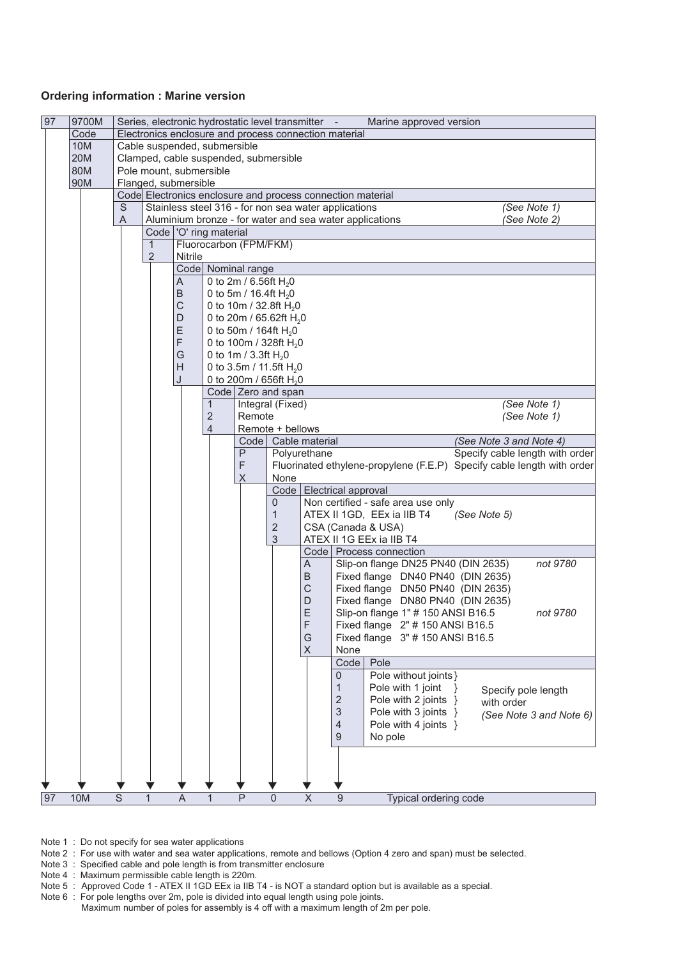#### **Ordering information : Marine version**

| 97 | 9700M      |                |                                       |             |                          |                    |                                                          | Series, electronic hydrostatic level transmitter -         |                | Marine approved version                                                          |
|----|------------|----------------|---------------------------------------|-------------|--------------------------|--------------------|----------------------------------------------------------|------------------------------------------------------------|----------------|----------------------------------------------------------------------------------|
|    | Code       |                |                                       |             |                          |                    |                                                          | Electronics enclosure and process connection material      |                |                                                                                  |
|    | 10M        |                | Cable suspended, submersible          |             |                          |                    |                                                          |                                                            |                |                                                                                  |
|    | <b>20M</b> |                | Clamped, cable suspended, submersible |             |                          |                    |                                                          |                                                            |                |                                                                                  |
|    | 80M        |                | Pole mount, submersible               |             |                          |                    |                                                          |                                                            |                |                                                                                  |
|    | 90M        |                | Flanged, submersible                  |             |                          |                    |                                                          |                                                            |                |                                                                                  |
|    |            |                |                                       |             |                          |                    |                                                          | Code Electronics enclosure and process connection material |                |                                                                                  |
|    |            | S              |                                       |             |                          |                    |                                                          | Stainless steel 316 - for non sea water applications       |                | (See Note 1)                                                                     |
|    |            | A              |                                       |             | Code   'O' ring material |                    |                                                          |                                                            |                | Aluminium bronze - for water and sea water applications<br>(See Note 2)          |
|    |            |                | 1                                     |             |                          |                    | Fluorocarbon (FPM/FKM)                                   |                                                            |                |                                                                                  |
|    |            |                | $\overline{2}$                        | Nitrile     |                          |                    |                                                          |                                                            |                |                                                                                  |
|    |            |                |                                       |             |                          | Code Nominal range |                                                          |                                                            |                |                                                                                  |
|    |            |                |                                       | A           |                          |                    | 0 to 2m / 6.56ft $H_2$ 0                                 |                                                            |                |                                                                                  |
|    |            |                |                                       | B           |                          |                    | 0 to 5m / 16.4ft $H_2$ 0                                 |                                                            |                |                                                                                  |
|    |            |                |                                       | $\mathsf C$ |                          |                    | 0 to 10m / 32.8ft $H_2$ 0                                |                                                            |                |                                                                                  |
|    |            |                |                                       | D           |                          |                    | 0 to 20m / 65.62ft H <sub>2</sub> 0                      |                                                            |                |                                                                                  |
|    |            |                |                                       | E           |                          |                    | 0 to 50m / 164ft $H_2$ 0                                 |                                                            |                |                                                                                  |
|    |            |                |                                       | F           |                          |                    | 0 to 100m / 328ft $H_2$ 0                                |                                                            |                |                                                                                  |
|    |            |                |                                       | G           |                          |                    | 0 to 1m / 3.3ft $H_2$ 0                                  |                                                            |                |                                                                                  |
|    |            |                |                                       | Н           |                          |                    | 0 to 3.5m / 11.5ft H <sub>2</sub> 0                      |                                                            |                |                                                                                  |
|    |            |                |                                       | J           |                          |                    | 0 to 200m / 656ft H <sub>2</sub> 0<br>Code Zero and span |                                                            |                |                                                                                  |
|    |            |                |                                       |             | 1                        |                    | Integral (Fixed)                                         |                                                            |                | (See Note 1)                                                                     |
|    |            |                |                                       |             | 2                        | Remote             |                                                          |                                                            |                | (See Note 1)                                                                     |
|    |            |                |                                       |             | 4                        |                    | Remote + bellows                                         |                                                            |                |                                                                                  |
|    |            |                |                                       |             |                          |                    |                                                          | Code   Cable material                                      |                | (See Note 3 and Note 4)                                                          |
|    |            |                |                                       |             |                          | P                  |                                                          | Polyurethane                                               |                | Specify cable length with order                                                  |
|    |            |                |                                       |             |                          | F                  |                                                          |                                                            |                | Fluorinated ethylene-propylene (F.E.P) Specify cable length with order           |
|    |            |                |                                       |             |                          | X                  | None                                                     |                                                            |                |                                                                                  |
|    |            |                |                                       |             |                          |                    |                                                          | Code   Electrical approval                                 |                |                                                                                  |
|    |            |                |                                       |             |                          |                    | 0<br>$\mathbf{1}$                                        |                                                            |                | Non certified - safe area use only<br>ATEX II 1GD, EEx ia IIB T4<br>(See Note 5) |
|    |            |                |                                       |             |                          |                    | 2                                                        |                                                            |                | CSA (Canada & USA)                                                               |
|    |            |                |                                       |             |                          |                    | 3                                                        |                                                            |                | ATEX II 1G EEx ia IIB T4                                                         |
|    |            |                |                                       |             |                          |                    |                                                          |                                                            |                | Code   Process connection                                                        |
|    |            |                |                                       |             |                          |                    |                                                          | A                                                          |                | Slip-on flange DN25 PN40 (DIN 2635)<br>not 9780                                  |
|    |            |                |                                       |             |                          |                    |                                                          | B                                                          |                | Fixed flange DN40 PN40 (DIN 2635)                                                |
|    |            |                |                                       |             |                          |                    |                                                          | С                                                          |                | Fixed flange DN50 PN40 (DIN 2635)                                                |
|    |            |                |                                       |             |                          |                    |                                                          | D                                                          |                | Fixed flange DN80 PN40 (DIN 2635)                                                |
|    |            |                |                                       |             |                          |                    |                                                          | E                                                          |                | Slip-on flange 1" # 150 ANSI B16.5<br>not 9780                                   |
|    |            |                |                                       |             |                          |                    |                                                          | F                                                          |                | Fixed flange 2" # 150 ANSI B16.5                                                 |
|    |            |                |                                       |             |                          |                    |                                                          | G                                                          |                | Fixed flange 3" # 150 ANSI B16.5                                                 |
|    |            |                |                                       |             |                          |                    |                                                          | X                                                          | None<br>Code   | Pole                                                                             |
|    |            |                |                                       |             |                          |                    |                                                          |                                                            | 0              | Pole without joints }                                                            |
|    |            |                |                                       |             |                          |                    |                                                          |                                                            | $\mathbf{1}$   | Pole with 1 joint                                                                |
|    |            |                |                                       |             |                          |                    |                                                          |                                                            | $\mathbf 2$    | Specify pole length<br>Pole with 2 joints }<br>with order                        |
|    |            |                |                                       |             |                          |                    |                                                          |                                                            | 3              | Pole with 3 joints }<br>(See Note 3 and Note 6)                                  |
|    |            |                |                                       |             |                          |                    |                                                          |                                                            | $\overline{4}$ | Pole with 4 joints }                                                             |
|    |            |                |                                       |             |                          |                    |                                                          |                                                            | 9              | No pole                                                                          |
|    |            |                |                                       |             |                          |                    |                                                          |                                                            |                |                                                                                  |
|    |            |                |                                       |             |                          |                    |                                                          |                                                            |                |                                                                                  |
|    |            |                |                                       |             |                          |                    |                                                          |                                                            |                |                                                                                  |
| 97 | 10M        | $\overline{s}$ | $\mathbf{1}$                          | A           |                          | $\overline{P}$     | $\Omega$                                                 | $\overline{\mathsf{x}}$                                    | $\overline{9}$ | Typical ordering code                                                            |

Note 1 : Do not specify for sea water applications

Note 2 : For use with water and sea water applications, remote and bellows (Option 4 zero and span) must be selected.

Note 3 : Specified cable and pole length is from transmitter enclosure

Note 4 : Maximum permissible cable length is 220m.

Note 5 : Approved Code 1 - ATEX II 1GD EEx ia IIB T4 - is NOT a standard option but is available as a special.

Note 6 : For pole lengths over 2m, pole is divided into equal length using pole joints.

 Maximum number of poles for assembly is 4 off with a maximum length of 2m per pole.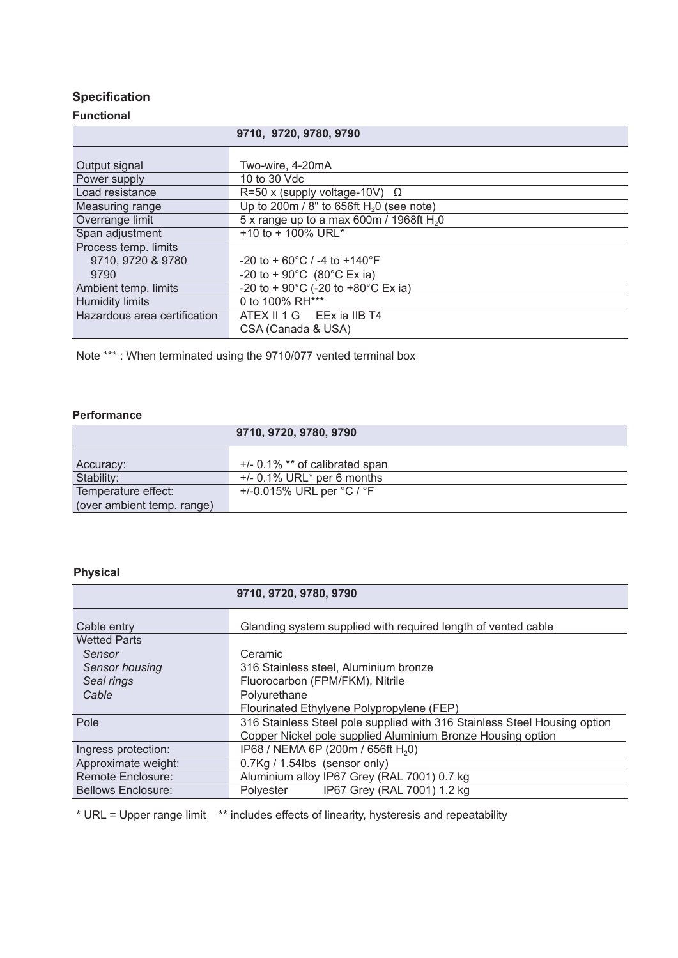### **Specification**

#### **Functional**

|                              | 9710, 9720, 9780, 9790                                   |
|------------------------------|----------------------------------------------------------|
|                              |                                                          |
| Output signal                | Two-wire, 4-20mA                                         |
| Power supply                 | 10 to 30 Vdc                                             |
| Load resistance              | R=50 x (supply voltage-10V) $\Omega$                     |
| Measuring range              | Up to 200m / 8" to 656ft $H20$ (see note)                |
| Overrange limit              | 5 x range up to a max 600m / 1968ft $H20$                |
| Span adjustment              | +10 to + 100% URL*                                       |
| Process temp. limits         |                                                          |
| 9710, 9720 & 9780            | $-20$ to + 60 $^{\circ}$ C / -4 to +140 $^{\circ}$ F     |
| 9790                         | -20 to + 90 $^{\circ}$ C (80 $^{\circ}$ C Ex ia)         |
| Ambient temp. limits         | -20 to + 90 $^{\circ}$ C (-20 to +80 $^{\circ}$ C Ex ia) |
| <b>Humidity limits</b>       | 0 to 100% RH***                                          |
| Hazardous area certification | ATEX II 1 G EEx ia IIB T4                                |
|                              | CSA (Canada & USA)                                       |

Note \*\*\* : When terminated using the 9710/077 vented terminal box

#### **Performance**

|                            | 9710, 9720, 9780, 9790                    |
|----------------------------|-------------------------------------------|
| Accuracy:                  | $+/-$ 0.1% $**$ of calibrated span        |
| Stability:                 | $+/- 0.1\%$ URL <sup>*</sup> per 6 months |
| Temperature effect:        | +/-0.015% URL per $°C / °F$               |
| (over ambient temp. range) |                                           |

### **Physical**

|                           | 9710, 9720, 9780, 9790                                                    |  |  |  |  |  |  |  |
|---------------------------|---------------------------------------------------------------------------|--|--|--|--|--|--|--|
| Cable entry               | Glanding system supplied with required length of vented cable             |  |  |  |  |  |  |  |
| <b>Wetted Parts</b>       |                                                                           |  |  |  |  |  |  |  |
| Sensor                    | Ceramic<br>316 Stainless steel, Aluminium bronze                          |  |  |  |  |  |  |  |
| <b>Sensor housing</b>     |                                                                           |  |  |  |  |  |  |  |
| Seal rings                | Fluorocarbon (FPM/FKM), Nitrile                                           |  |  |  |  |  |  |  |
| Cable                     | Polyurethane                                                              |  |  |  |  |  |  |  |
|                           | Flourinated Ethylyene Polypropylene (FEP)                                 |  |  |  |  |  |  |  |
| Pole                      | 316 Stainless Steel pole supplied with 316 Stainless Steel Housing option |  |  |  |  |  |  |  |
|                           | Copper Nickel pole supplied Aluminium Bronze Housing option               |  |  |  |  |  |  |  |
| Ingress protection:       | IP68 / NEMA 6P (200m / 656ft H <sub>2</sub> 0)                            |  |  |  |  |  |  |  |
| Approximate weight:       | 0.7Kg / 1.54lbs (sensor only)                                             |  |  |  |  |  |  |  |
| Remote Enclosure:         | Aluminium alloy IP67 Grey (RAL 7001) 0.7 kg                               |  |  |  |  |  |  |  |
| <b>Bellows Enclosure:</b> | IP67 Grey (RAL 7001) 1.2 kg<br>Polyester                                  |  |  |  |  |  |  |  |

\* URL = Upper range limit \*\* includes effects of linearity, hysteresis and repeatability